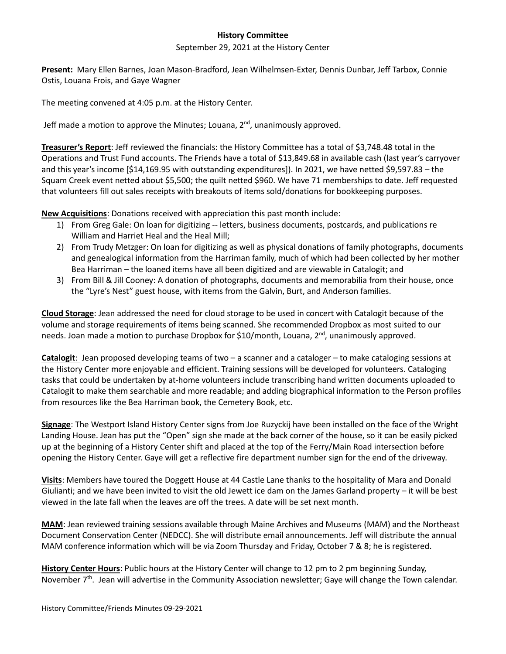## **History Committee**

## September 29, 2021 at the History Center

**Present:** Mary Ellen Barnes, Joan Mason-Bradford, Jean Wilhelmsen-Exter, Dennis Dunbar, Jeff Tarbox, Connie Ostis, Louana Frois, and Gaye Wagner

The meeting convened at 4:05 p.m. at the History Center.

Jeff made a motion to approve the Minutes; Louana, 2<sup>nd</sup>, unanimously approved.

**Treasurer's Report**: Jeff reviewed the financials: the History Committee has a total of \$3,748.48 total in the Operations and Trust Fund accounts. The Friends have a total of \$13,849.68 in available cash (last year's carryover and this year's income [\$14,169.95 with outstanding expenditures]). In 2021, we have netted \$9,597.83 – the Squam Creek event netted about \$5,500; the quilt netted \$960. We have 71 memberships to date. Jeff requested that volunteers fill out sales receipts with breakouts of items sold/donations for bookkeeping purposes.

**New Acquisitions**: Donations received with appreciation this past month include:

- 1) From Greg Gale: On loan for digitizing -- letters, business documents, postcards, and publications re William and Harriet Heal and the Heal Mill;
- 2) From Trudy Metzger: On loan for digitizing as well as physical donations of family photographs, documents and genealogical information from the Harriman family, much of which had been collected by her mother Bea Harriman – the loaned items have all been digitized and are viewable in Catalogit; and
- 3) From Bill & Jill Cooney: A donation of photographs, documents and memorabilia from their house, once the "Lyre's Nest" guest house, with items from the Galvin, Burt, and Anderson families.

**Cloud Storage**: Jean addressed the need for cloud storage to be used in concert with Catalogit because of the volume and storage requirements of items being scanned. She recommended Dropbox as most suited to our needs. Joan made a motion to purchase Dropbox for \$10/month, Louana, 2<sup>nd</sup>, unanimously approved.

**Catalogit**: Jean proposed developing teams of two – a scanner and a cataloger – to make cataloging sessions at the History Center more enjoyable and efficient. Training sessions will be developed for volunteers. Cataloging tasks that could be undertaken by at-home volunteers include transcribing hand written documents uploaded to Catalogit to make them searchable and more readable; and adding biographical information to the Person profiles from resources like the Bea Harriman book, the Cemetery Book, etc.

**Signage**: The Westport Island History Center signs from Joe Ruzyckij have been installed on the face of the Wright Landing House. Jean has put the "Open" sign she made at the back corner of the house, so it can be easily picked up at the beginning of a History Center shift and placed at the top of the Ferry/Main Road intersection before opening the History Center. Gaye will get a reflective fire department number sign for the end of the driveway.

**Visits**: Members have toured the Doggett House at 44 Castle Lane thanks to the hospitality of Mara and Donald Giulianti; and we have been invited to visit the old Jewett ice dam on the James Garland property – it will be best viewed in the late fall when the leaves are off the trees. A date will be set next month.

**MAM**: Jean reviewed training sessions available through Maine Archives and Museums (MAM) and the Northeast Document Conservation Center (NEDCC). She will distribute email announcements. Jeff will distribute the annual MAM conference information which will be via Zoom Thursday and Friday, October 7 & 8; he is registered.

**History Center Hours**: Public hours at the History Center will change to 12 pm to 2 pm beginning Sunday, November 7<sup>th</sup>. Jean will advertise in the Community Association newsletter; Gaye will change the Town calendar.